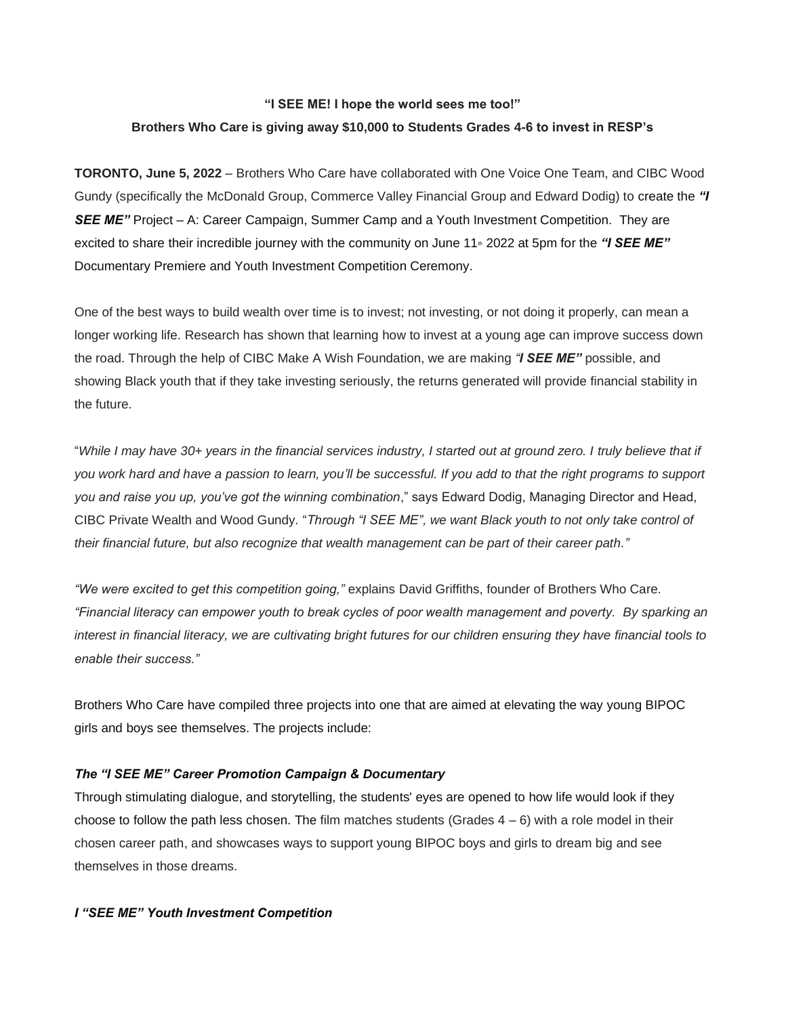# **"I SEE ME! I hope the world sees me too!" Brothers Who Care is giving away \$10,000 to Students Grades 4-6 to invest in RESP's**

**TORONTO, June 5, 2022** – Brothers Who Care have collaborated with One Voice One Team, and CIBC Wood Gundy (specifically the McDonald Group, Commerce Valley Financial Group and Edward Dodig) to create the *"I*  **SEE ME"** Project – A: Career Campaign, Summer Camp and a Youth Investment Competition. They are excited to share their incredible journey with the community on June 11<sup>th</sup> 2022 at 5pm for the *"I SEE ME"* Documentary Premiere and Youth Investment Competition Ceremony.

One of the best ways to build wealth over time is to invest; not investing, or not doing it properly, can mean a longer working life. Research has shown that learning how to invest at a young age can improve success down the road. Through the help of CIBC Make A Wish Foundation, we are making *"I SEE ME"* possible, and showing Black youth that if they take investing seriously, the returns generated will provide financial stability in the future.

"*While I may have 30+ years in the financial services industry, I started out at ground zero. I truly believe that if you work hard and have a passion to learn, you'll be successful. If you add to that the right programs to support you and raise you up, you've got the winning combination*," says Edward Dodig, Managing Director and Head, CIBC Private Wealth and Wood Gundy. "*Through "I SEE ME", we want Black youth to not only take control of their financial future, but also recognize that wealth management can be part of their career path."*

*"We were excited to get this competition going,"* explains David Griffiths, founder of Brothers Who Care. *"Financial literacy can empower youth to break cycles of poor wealth management and poverty. By sparking an interest in financial literacy, we are cultivating bright futures for our children ensuring they have financial tools to enable their success."*

Brothers Who Care have compiled three projects into one that are aimed at elevating the way young BIPOC girls and boys see themselves. The projects include:

## *The "I SEE ME" Career Promotion Campaign & Documentary*

Through stimulating dialogue, and storytelling, the students' eyes are opened to how life would look if they choose to follow the path less chosen. The film matches students (Grades  $4 - 6$ ) with a role model in their chosen career path, and showcases ways to support young BIPOC boys and girls to dream big and see themselves in those dreams.

## *I "SEE ME" Youth Investment Competition*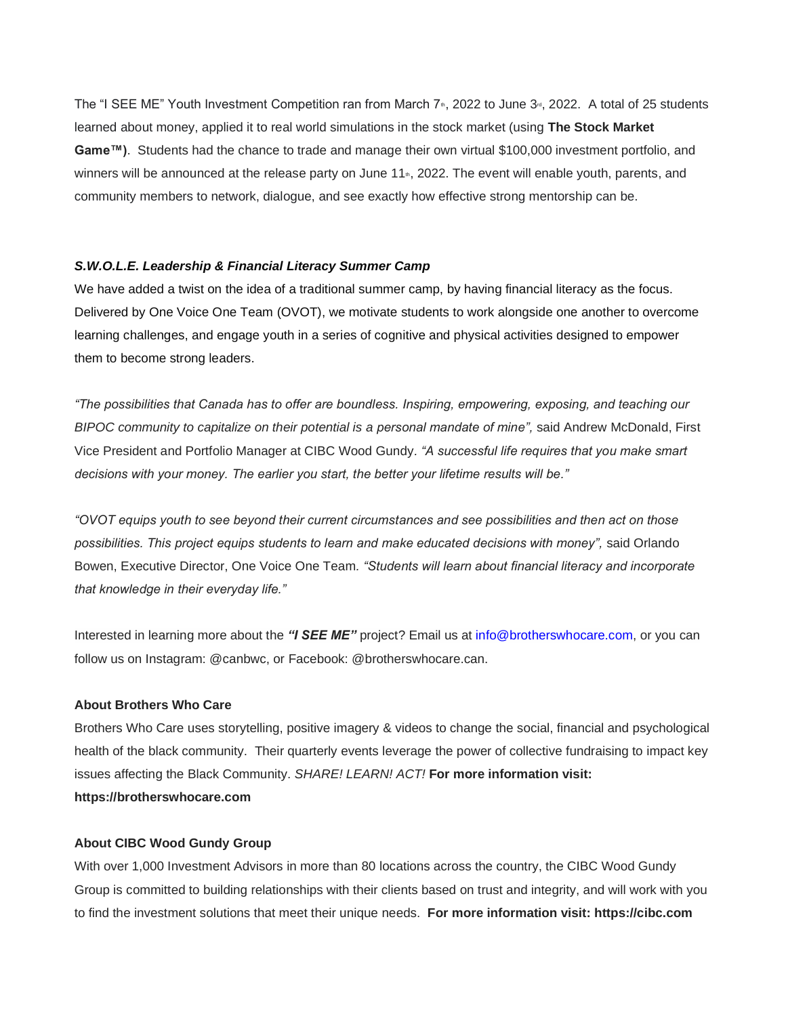The "I SEE ME" Youth Investment Competition ran from March 7<sup>th</sup>, 2022 to June 3<sup>rd</sup>, 2022. A total of 25 students learned about money, applied it to real world simulations in the stock market (using **The Stock Market Game™)**. Students had the chance to trade and manage their own virtual \$100,000 investment portfolio, and winners will be announced at the release party on June  $11<sub>en</sub>$ , 2022. The event will enable youth, parents, and community members to network, dialogue, and see exactly how effective strong mentorship can be.

#### *S.W.O.L.E. Leadership & Financial Literacy Summer Camp*

We have added a twist on the idea of a traditional summer camp, by having financial literacy as the focus. Delivered by One Voice One Team (OVOT), we motivate students to work alongside one another to overcome learning challenges, and engage youth in a series of cognitive and physical activities designed to empower them to become strong leaders.

*"The possibilities that Canada has to offer are boundless. Inspiring, empowering, exposing, and teaching our BIPOC community to capitalize on their potential is a personal mandate of mine",* said Andrew McDonald, First Vice President and Portfolio Manager at CIBC Wood Gundy*. "A successful life requires that you make smart decisions with your money. The earlier you start, the better your lifetime results will be."*

*"OVOT equips youth to see beyond their current circumstances and see possibilities and then act on those possibilities. This project equips students to learn and make educated decisions with money",* said Orlando Bowen, Executive Director, One Voice One Team*. "Students will learn about financial literacy and incorporate that knowledge in their everyday life."*

Interested in learning more about the *"I SEE ME"* project? Email us at info@brotherswhocare.com, or you can follow us on Instagram: @canbwc, or Facebook: @brotherswhocare.can.

## **About Brothers Who Care**

Brothers Who Care uses storytelling, positive imagery & videos to change the social, financial and psychological health of the black community. Their quarterly events leverage the power of collective fundraising to impact key issues affecting the Black Community. *SHARE! LEARN! ACT!* **For more information visit: https://brotherswhocare.com**

#### **About CIBC Wood Gundy Group**

With over 1,000 Investment Advisors in more than 80 locations across the country, the CIBC Wood Gundy Group is committed to building relationships with their clients based on trust and integrity, and will work with you to find the investment solutions that meet their unique needs. **For more information visit: https://cibc.com**